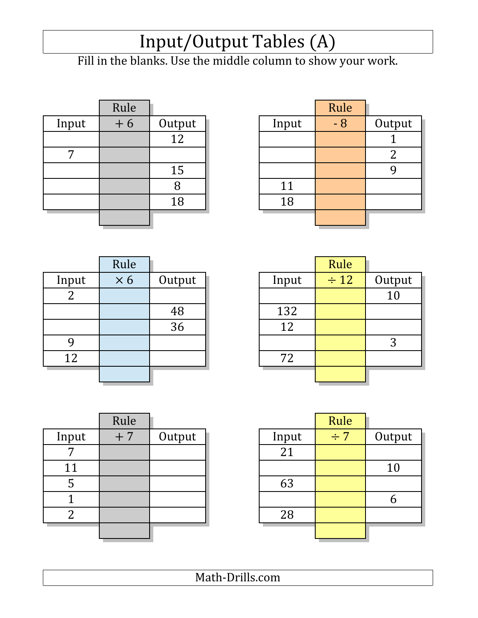### Input/Output Tables (A)

Fill in the blanks. Use the middle column to show your work.

|       | Rule |        |       | Rule |                |
|-------|------|--------|-------|------|----------------|
| Input | $+6$ | Output | Input | - 8  | Outj           |
|       |      | 12     |       |      |                |
|       |      |        |       |      | $\overline{2}$ |
|       |      | 15     |       |      | 9              |
|       |      |        | 11    |      |                |
|       |      | 18     | 18    |      |                |
|       |      |        |       |      |                |

|       | Rule |        |       | Rule |        |
|-------|------|--------|-------|------|--------|
| Input | $+6$ | Output | Input | $-8$ | Output |
|       |      | 12     |       |      |        |
| ヮ     |      |        |       |      |        |
|       |      | 15     |       |      |        |
|       |      | Ŏ      | 11    |      |        |
|       |      | 18     | 18    |      |        |
|       |      |        |       |      |        |

| Rule<br>Rule<br>$\div 12$<br>$\times 6$<br>Input<br>Output<br>Outj<br>Input<br>1 <sub>0</sub><br>∠<br>132<br>48<br>36<br>12<br>3<br>12<br>72 |  |  |  |  |
|----------------------------------------------------------------------------------------------------------------------------------------------|--|--|--|--|
|                                                                                                                                              |  |  |  |  |
|                                                                                                                                              |  |  |  |  |
|                                                                                                                                              |  |  |  |  |
|                                                                                                                                              |  |  |  |  |
|                                                                                                                                              |  |  |  |  |
|                                                                                                                                              |  |  |  |  |
|                                                                                                                                              |  |  |  |  |
|                                                                                                                                              |  |  |  |  |

|                | Rule       |        |       | Rule      |        |
|----------------|------------|--------|-------|-----------|--------|
| Input          | $\times 6$ | Output | Input | $\div$ 12 | Output |
| $\overline{2}$ |            |        |       |           | 10     |
|                |            | 48     | 132   |           |        |
|                |            | 36     | 12    |           |        |
| 9              |            |        |       |           | 3      |
| 12             |            |        | 72    |           |        |
|                |            |        |       |           |        |

|       | Rule |        |       | Rule     |      |
|-------|------|--------|-------|----------|------|
| Input | $+7$ | Output | Input | $\div$ 7 | Outp |
|       |      |        | 21    |          |      |
| 11    |      |        |       |          | 10   |
| ჯ     |      |        | 63    |          |      |
|       |      |        |       |          | 6    |
| 2     |      |        | 28    |          |      |
|       |      |        |       |          |      |

|       | Rule |        |       | Rule     |        |
|-------|------|--------|-------|----------|--------|
| Input | $+7$ | Output | Input | $\div$ 7 | Output |
| ヮ     |      |        | 21    |          |        |
| 11    |      |        |       |          | 10     |
| 5     |      |        | 63    |          |        |
|       |      |        |       |          |        |
| ി     |      |        | 28    |          |        |
|       |      |        |       |          |        |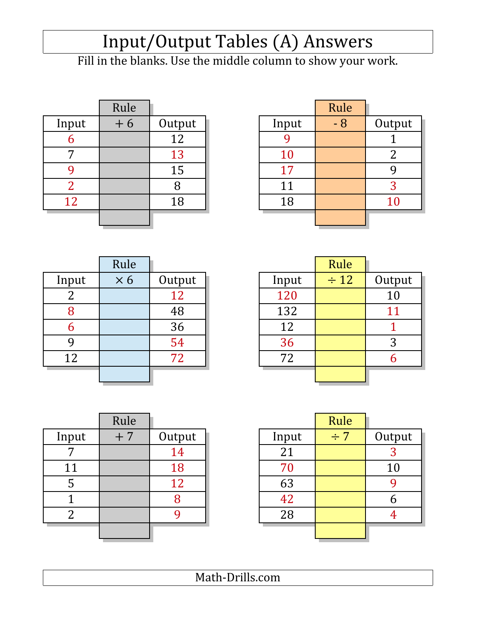# Input/Output Tables (A) Answers

Fill in the blanks. Use the middle column to show your work.

|       | Rule |        |           | Rule |        |
|-------|------|--------|-----------|------|--------|
| Input | $+6$ | Output | Input     | $-8$ | Outp   |
| О     |      | 12     |           |      |        |
|       |      | 13     | <b>10</b> |      | 2      |
|       |      | 15     | 17        |      | 9      |
|       |      |        | 11        |      | 3      |
| 12    |      | 18     | 18        |      | $10\,$ |
|       |      |        |           |      |        |

|       | Rule |        |           | Rule |        |
|-------|------|--------|-----------|------|--------|
| Input | $+6$ | Output | Input     | $-8$ | Output |
| 6     |      | 12     |           |      |        |
| ⇁     |      | 13     | <b>10</b> |      |        |
|       |      | 15     | 17        |      |        |
| ി     |      | 8      | 11        |      |        |
| 12    |      | 18     | 18        |      | $10\,$ |
|       |      |        |           |      |        |

|       | Rule       |        |       | Rule      |                |
|-------|------------|--------|-------|-----------|----------------|
| Input | $\times 6$ | Output | Input | $\div$ 12 | Out            |
|       |            | 12     | 120   |           | 1 <sub>0</sub> |
| 8     |            | 48     | 132   |           | 1 <sup>1</sup> |
| 6     |            | 36     | 12    |           |                |
|       |            | 54     | 36    |           | 3              |
| 12    |            | 72     | 72    |           | 6              |
|       |            |        |       |           |                |

|                | Rule       |        |       | Rule      |        |
|----------------|------------|--------|-------|-----------|--------|
| Input          | $\times 6$ | Output | Input | $\div$ 12 | Output |
| $\overline{2}$ |            | 12     | 120   |           | 10     |
| 8              |            | 48     | 132   |           | 11     |
| 6              |            | 36     | 12    |           |        |
| 9              |            | 54     | 36    |           | 3      |
| 12             |            | 72     | 72    |           | h      |
|                |            |        |       |           |        |

|       | Rule |        |       | Rule     |                |
|-------|------|--------|-------|----------|----------------|
| Input | $+7$ | Output | Input | $\div 7$ | Outp           |
|       |      | 14     | 21    |          | 3              |
| 11    |      | 18     | 70    |          | 10             |
| Ⴢ     |      | 12     | 63    |          | 9              |
|       |      | 8      | 42    |          | 6              |
| 2     |      |        | 28    |          | $\overline{4}$ |
|       |      |        |       |          |                |

|                | Rule |        |       | Rule     |        |
|----------------|------|--------|-------|----------|--------|
| Input          | $+7$ | Output | Input | $\div$ 7 | Output |
| 7              |      | 14     | 21    |          | C      |
| 11             |      | 18     | 70    |          | 10     |
| 5              |      | 12     | 63    |          |        |
|                |      | 8      | 42    |          |        |
| $\overline{2}$ |      |        | 28    |          |        |
|                |      |        |       |          |        |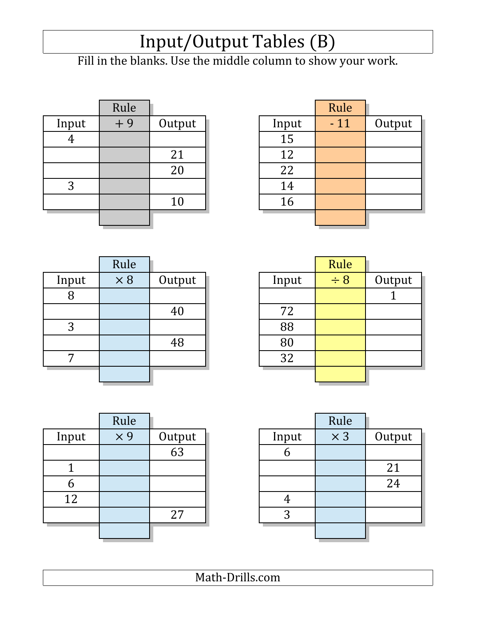### Input/Output Tables (B)

Fill in the blanks. Use the middle column to show your work.

|       | Rule |        |       | Rule  |
|-------|------|--------|-------|-------|
| Input | $+9$ | Output | Input | $-11$ |
|       |      |        | 15    |       |
|       |      | 21     | 12    |       |
|       |      | 20     | 22    |       |
| 3     |      |        | 14    |       |
|       |      | 10     | 16    |       |
|       |      |        |       |       |

|       | Rule |        |       | Rule  |        |
|-------|------|--------|-------|-------|--------|
| Input | $+9$ | Output | Input | $-11$ | Output |
|       |      |        | 15    |       |        |
|       |      | 21     | 12    |       |        |
|       |      | 20     | 22    |       |        |
| 3     |      |        | 14    |       |        |
|       |      | 10     | 16    |       |        |
|       |      |        |       |       |        |
|       |      |        |       |       |        |

|       | Rule       |        |       | Rule     |                |
|-------|------------|--------|-------|----------|----------------|
| Input | $\times 8$ | Output | Input | $\div 8$ | Out            |
| 8     |            |        |       |          | $\overline{1}$ |
|       |            | 40     | 72    |          |                |
| 3     |            |        | 88    |          |                |
|       |            | 48     | 80    |          |                |
| 7     |            |        | 32    |          |                |
|       |            |        |       |          |                |

|       | Rule       |        |       | Rule     |        |
|-------|------------|--------|-------|----------|--------|
| Input | $\times 8$ | Output | Input | $\div 8$ | Output |
| 8     |            |        |       |          |        |
|       |            | 40     | 72    |          |        |
| 3     |            |        | 88    |          |        |
|       |            | 48     | 80    |          |        |
| ⇁     |            |        | 32    |          |        |
|       |            |        |       |          |        |

|       | Rule       |                     |       | Rule                  |
|-------|------------|---------------------|-------|-----------------------|
| Input | $\times$ 9 | $\frac{Output}{63}$ | Input | $\overline{\times 3}$ |
|       |            |                     |       |                       |
|       |            |                     |       |                       |
|       |            |                     |       |                       |
| 12    |            |                     |       |                       |
|       |            | 27                  | 3     |                       |
|       |            |                     |       |                       |
|       |            |                     |       |                       |

|        | Rule       |       |        | Rule       |       |
|--------|------------|-------|--------|------------|-------|
| Output | $\times$ 3 | Input | Output | $\times$ 9 | Input |
|        |            |       | 63     |            |       |
| 21     |            |       |        |            |       |
| 24     |            |       |        |            | b     |
|        |            |       |        |            | 12    |
|        |            | ာ     | 27     |            |       |
|        |            |       |        |            |       |
|        |            |       |        |            |       |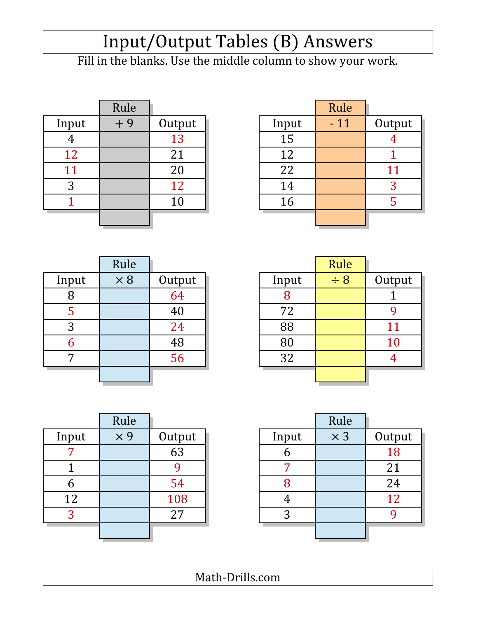# Input/Output Tables (B) Answers

Fill in the blanks. Use the middle column to show your work.

|       | Rule |        |       | Rule  |                |
|-------|------|--------|-------|-------|----------------|
| Input | $+9$ | Output | Input | $-11$ | Outp           |
| 4     |      | 13     | 15    |       | $\overline{4}$ |
| 12    |      | 21     | 12    |       |                |
| 11    |      | 20     | 22    |       |                |
| 3     |      | 12     | 14    |       | 3              |
|       |      | 10     | 16    |       | 5              |
|       |      |        |       |       |                |
|       |      |        |       |       |                |

|       | Rule |        |       | Rule  |        |
|-------|------|--------|-------|-------|--------|
| Input | $+9$ | Output | Input | $-11$ | Output |
|       |      | 13     | 15    |       |        |
| 12    |      | 21     | 12    |       |        |
| 11    |      | 20     | 22    |       | 11     |
| 3     |      | 12     | 14    |       | 3      |
|       |      | 10     | 16    |       |        |
|       |      |        |       |       |        |

|       | Rule       |        |       | Rule     |                |
|-------|------------|--------|-------|----------|----------------|
| Input | $\times 8$ | Output | Input | $\div 8$ | Outj           |
| 8     |            | 64     |       |          | $\mathbf{1}$   |
| C     |            | 40     | 72    |          | 9              |
| 3     |            | 24     | 88    |          | $1^{\circ}$    |
| b     |            | 48     | 80    |          | 1(             |
| 7     |            | 56     | 32    |          | $\overline{4}$ |
|       |            |        |       |          |                |

|       | Rule       |                 |       | Rule     |           |
|-------|------------|-----------------|-------|----------|-----------|
| Input | $\times 8$ | Output          | Input | $\div 8$ | Output    |
| 8     |            | $\overline{64}$ |       |          |           |
| 5     |            | 40              | 72    |          |           |
| 3     |            | 24              | 88    |          | 11        |
| 6     |            | 48              | 80    |          | <b>10</b> |
| 7     |            | 56              | 32    |          |           |
|       |            |                 |       |          |           |

|       | Rule       |        |       | Rule       |      |
|-------|------------|--------|-------|------------|------|
| Input | $\times$ 9 | Output | Input | $\times 3$ | Outp |
|       |            | 63     | n     |            | 18   |
|       |            |        |       |            | 21   |
| b     |            | 54     |       |            | 24   |
| 12    |            | 108    |       |            | 12   |
| 3     |            | 27     | 3     |            | 9    |
|       |            |        |       |            |      |

|       | Rule       |        |       | Rule       |        |
|-------|------------|--------|-------|------------|--------|
| Input | $\times$ 9 | Output | Input | $\times$ 3 | Output |
| ៗ     |            | 63     |       |            | 18     |
|       |            |        |       |            | 21     |
| b     |            | 54     |       |            | 24     |
| 12    |            | 108    |       |            | 12     |
| 3     |            | 27     | 3     |            |        |
|       |            |        |       |            |        |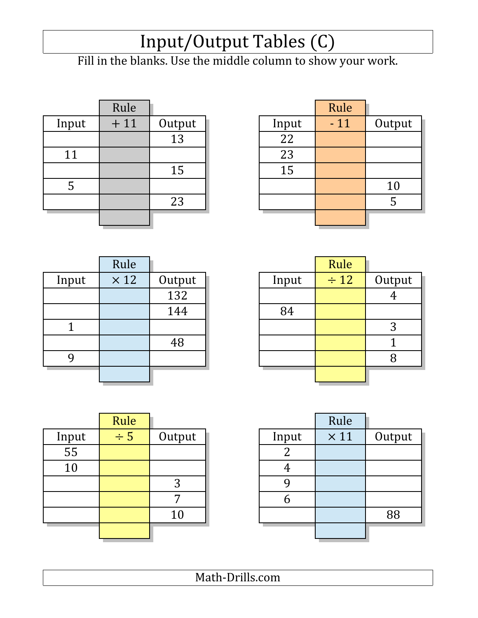### Input/Output Tables (C)

Fill in the blanks. Use the middle column to show your work.

|       | Rule  |        |       | Rule  |
|-------|-------|--------|-------|-------|
| Input | $+11$ | Output | Input | $-11$ |
|       |       | 13     | 22    |       |
| 11    |       |        | 23    |       |
|       |       | 15     | 15    |       |
| 5     |       |        |       |       |
|       |       | 23     |       |       |
|       |       |        |       |       |

|       | Rule  |        |       | Rule  |        |
|-------|-------|--------|-------|-------|--------|
| Input | $+11$ | Output | Input | $-11$ | Output |
|       |       | 13     | 22    |       |        |
| 11    |       |        | 23    |       |        |
|       |       | 15     | 15    |       |        |
| 5     |       |        |       |       | 10     |
|       |       | 23     |       |       | b      |
|       |       |        |       |       |        |

|       | Rule        |        |       | Rule      |                |
|-------|-------------|--------|-------|-----------|----------------|
| Input | $\times$ 12 | Output | Input | $\div$ 12 | Out            |
|       |             | 132    |       |           | $\overline{4}$ |
|       |             | 144    | 84    |           |                |
|       |             |        |       |           | 3              |
|       |             | 48     |       |           | $\mathbf 1$    |
|       |             |        |       |           | 8              |
|       |             |        |       |           |                |
|       |             |        |       |           |                |

|       | Rule        |        |       | Rule      |        |
|-------|-------------|--------|-------|-----------|--------|
| Input | $\times$ 12 | Output | Input | $\div$ 12 | Output |
|       |             | 132    |       |           |        |
|       |             | 144    | 84    |           |        |
|       |             |        |       |           | 3      |
|       |             | 48     |       |           |        |
|       |             |        |       |           | 8      |
|       |             |        |       |           |        |

|       | Rule     |        |       | Rule        |
|-------|----------|--------|-------|-------------|
| Input | $\div$ 5 | Output | Input | $\times 11$ |
| 55    |          |        |       |             |
| 10    |          |        |       |             |
|       |          | 3      |       |             |
|       |          |        |       |             |
|       |          | 10     |       |             |
|       |          |        |       |             |
|       |          |        |       |             |

|       | Rule     |        |       | Rule        |        |
|-------|----------|--------|-------|-------------|--------|
| Input | $\div$ 5 | Output | Input | $\times$ 11 | Output |
| 55    |          |        |       |             |        |
| 10    |          |        |       |             |        |
|       |          | 3      |       |             |        |
|       |          | 7      |       |             |        |
|       |          | 10     |       |             | 88     |
|       |          |        |       |             |        |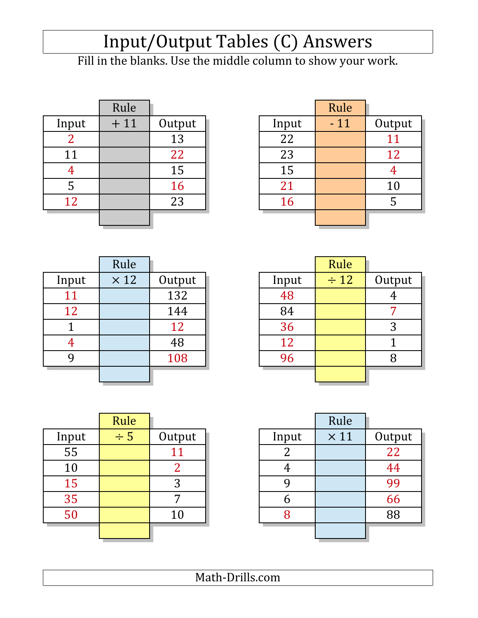# Input/Output Tables (C) Answers

Fill in the blanks. Use the middle column to show your work.

|       | Rule  |        |       | Rule  |                |
|-------|-------|--------|-------|-------|----------------|
| Input | $+11$ | Output | Input | $-11$ | Outp           |
|       |       | 13     | 22    |       |                |
| 11    |       | 22     | 23    |       | 12             |
| 4     |       | 15     | 15    |       | $\overline{4}$ |
| 5     |       | 16     | 21    |       | 10             |
| 12    |       | 23     | 16    |       | 5              |
|       |       |        |       |       |                |
|       |       |        |       |       |                |

|       | Rule  |        |       | Rule  |        |
|-------|-------|--------|-------|-------|--------|
| Input | $+11$ | Output | Input | $-11$ | Output |
| ി     |       | 13     | 22    |       | 11     |
| 11    |       | 22     | 23    |       | 12     |
|       |       | 15     | 15    |       |        |
| 5     |       | 16     | 21    |       | 10     |
| 12    |       | 23     | 16    |       | 5      |
|       |       |        |       |       |        |

|       | Rule        |        |       | Rule      |                |
|-------|-------------|--------|-------|-----------|----------------|
| Input | $\times$ 12 | Output | Input | $\div$ 12 | Out            |
| 11    |             | 132    | 48    |           | $\overline{4}$ |
| 12    |             | 144    | 84    |           | 7              |
|       |             | 12     | 36    |           | 3              |
| 4     |             | 48     | 12    |           | 1              |
|       |             | 108    | 96    |           | 8              |
|       |             |        |       |           |                |

|       | Rule        |        |       | Rule      |        |
|-------|-------------|--------|-------|-----------|--------|
| Input | $\times$ 12 | Output | Input | $\div$ 12 | Output |
| 11    |             | 132    | 48    |           |        |
| 12    |             | 144    | 84    |           |        |
|       |             | 12     | 36    |           | 3      |
|       |             | 48     | 12    |           |        |
| 9     |             | 108    | 96    |           |        |
|       |             |        |       |           |        |

|       | Rule     |        |       | Rule        |                 |
|-------|----------|--------|-------|-------------|-----------------|
| Input | $\div$ 5 | Output | Input | $\times$ 11 | Outp            |
| 55    |          |        |       |             | $\overline{22}$ |
| 10    |          | 2      |       |             | 44              |
| 15    |          | 3      |       |             | 99              |
| 35    |          |        |       |             | 66              |
| 50    |          | 10     |       |             | 88              |
|       |          |        |       |             |                 |

|       | Rule     |        |       | Rule        |        |
|-------|----------|--------|-------|-------------|--------|
| Input | $\div$ 5 | Output | Input | $\times$ 11 | Output |
| 55    |          | 11     |       |             | 22     |
| 10    |          | າ      |       |             | 44     |
| 15    |          | 3      |       |             | 99     |
| 35    |          | 7      |       |             | 66     |
| 50    |          | 10     |       |             | 88     |
|       |          |        |       |             |        |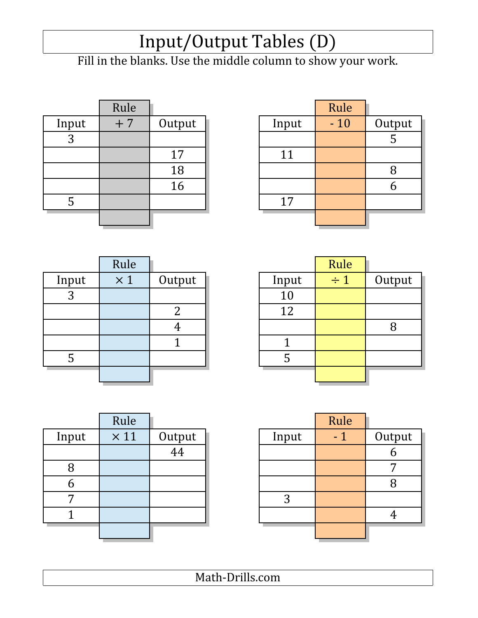### Input/Output Tables (D)

Fill in the blanks. Use the middle column to show your work.

|       | Rule |        |       | Rule  |      |
|-------|------|--------|-------|-------|------|
| Input | $+7$ | Output | Input | $-10$ | Outj |
| 2     |      |        |       |       | 5    |
|       |      | 17     | 11    |       |      |
|       |      | 18     |       |       | 8    |
|       |      | 16     |       |       | 6    |
| 5     |      |        | 17    |       |      |
|       |      |        |       |       |      |
|       |      |        |       |       |      |

| Rule |        |       | Rule  |        |
|------|--------|-------|-------|--------|
| $+7$ | Output | Input | $-10$ | Output |
|      |        |       |       | ل      |
|      | 17     | 11    |       |        |
|      | 18     |       |       |        |
|      | 16     |       |       |        |
|      |        | 17    |       |        |
|      |        |       |       |        |
|      |        |       |       |        |

|       | Rule       |        |       | Rule     |
|-------|------------|--------|-------|----------|
| Input | $\times 1$ | Output | Input | $\div$ 1 |
| 3     |            |        | 10    |          |
|       |            |        | 12    |          |
|       |            |        |       |          |
|       |            |        |       |          |
|       |            |        |       |          |
|       |            |        |       |          |
|       |            |        |       |          |

|       | Rule       |        |       | Rule     |        |
|-------|------------|--------|-------|----------|--------|
| Input | $\times 1$ | Output | Input | $\div 1$ | Output |
| 3     |            |        | 10    |          |        |
|       |            | า      | 12    |          |        |
|       |            |        |       |          |        |
|       |            |        |       |          |        |
| C     |            |        |       |          |        |
|       |            |        |       |          |        |

|       | Rule         |                     |       | Rule |                |
|-------|--------------|---------------------|-------|------|----------------|
| Input | $\times\,11$ | $\frac{Output}{44}$ | Input | - 1  | Outj           |
|       |              |                     |       |      | 6              |
| 8     |              |                     |       |      | $\overline{7}$ |
|       |              |                     |       |      | 8              |
|       |              |                     | 3     |      |                |
|       |              |                     |       |      | 4              |
|       |              |                     |       |      |                |

|       | Rule        |        |       | Rule |        |
|-------|-------------|--------|-------|------|--------|
| Input | $\times$ 11 | Output | Input | $-1$ | Output |
|       |             | 44     |       |      |        |
| 8     |             |        |       |      |        |
| 6     |             |        |       |      |        |
|       |             |        | 3     |      |        |
|       |             |        |       |      |        |
|       |             |        |       |      |        |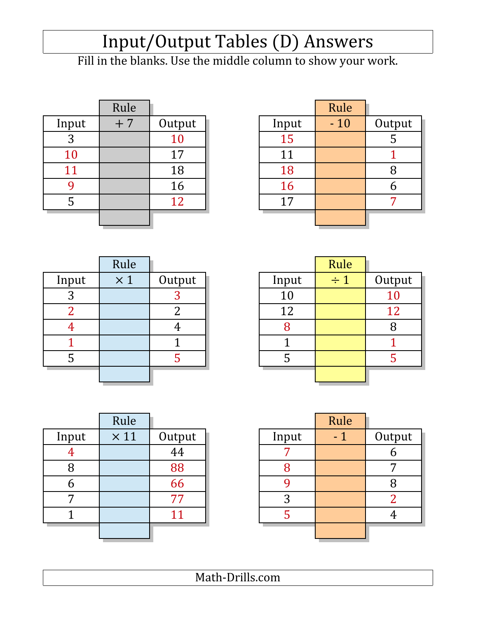# Input/Output Tables (D) Answers

Fill in the blanks. Use the middle column to show your work.

|       | Rule |        |       | Rule  |      |
|-------|------|--------|-------|-------|------|
| Input | $+7$ | Output | Input | $-10$ | Outj |
| 3     |      | 10     | 15    |       | 5    |
| 10    |      | 17     | 11    |       |      |
| 11    |      | 18     | 18    |       | 8    |
|       |      | 16     | 16    |       | 6    |
| Ⴢ     |      | 12     | 17    |       | 7    |
|       |      |        |       |       |      |

| Rule |        |           | Rule  |        |
|------|--------|-----------|-------|--------|
| $+7$ | Output | Input     | $-10$ | Output |
|      | 10     | 15        |       | J      |
|      | 17     | 11        |       |        |
|      | 18     | 18        |       |        |
|      | 16     | <b>16</b> |       |        |
|      | 12     | 17        |       |        |
|      |        |           |       |        |
|      |        |           |       |        |

|        | Rule       |        |       | Rule     |                |
|--------|------------|--------|-------|----------|----------------|
| Input  | $\times 1$ | Output | Input | $\div$ 1 | Out            |
| ာ<br>J |            |        | 10    |          | 1 <sub>0</sub> |
|        |            |        | 12    |          | 1'             |
|        |            |        |       |          | 8              |
|        |            |        |       |          |                |
|        |            |        |       |          | 5              |
|        |            |        |       |          |                |

|       | Rule       |        |       | Rule     |        |
|-------|------------|--------|-------|----------|--------|
| Input | $\times 1$ | Output | Input | $\div 1$ | Output |
| 3     |            |        | 10    |          | 10     |
| ⌒     |            |        | 12    |          | 12     |
|       |            |        |       |          |        |
|       |            |        |       |          |        |
|       |            |        |       |          |        |
|       |            |        |       |          |        |

|       | Rule        |        |       | Rule |                |
|-------|-------------|--------|-------|------|----------------|
| Input | $\times$ 11 | Output | Input | - 1  | Outj           |
|       |             | 44     |       |      | 6              |
| 8     |             | 88     |       |      | 7              |
| n     |             | 66     |       |      | 8              |
|       |             | 77     | 3     |      | $\overline{2}$ |
|       |             | 11     |       |      | $\overline{4}$ |
|       |             |        |       |      |                |

|       | Rule        |        |       | Rule |        |
|-------|-------------|--------|-------|------|--------|
| Input | $\times$ 11 | Output | Input | - 1  | Output |
|       |             | 44     |       |      |        |
| 8     |             | 88     |       |      |        |
| h     |             | 66     |       |      |        |
|       |             | 77     | 3     |      |        |
|       |             | 11     |       |      |        |
|       |             |        |       |      |        |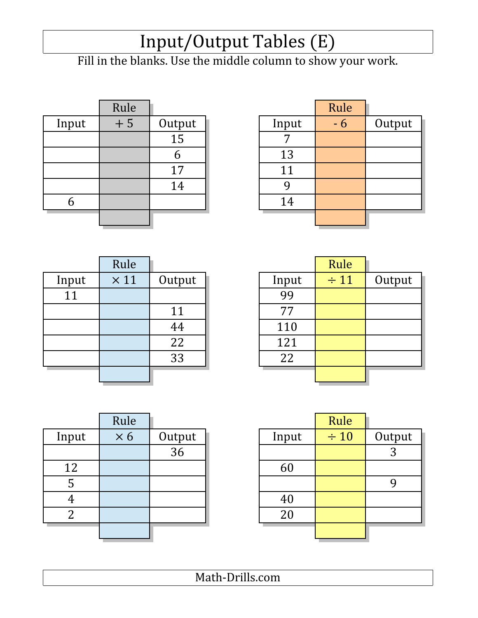### Input/Output Tables (E)

Fill in the blanks. Use the middle column to show your work.

|       | Rule |                 |       | Rule |
|-------|------|-----------------|-------|------|
| Input | $+5$ | Output          | Input |      |
|       |      | $\overline{15}$ |       |      |
|       |      | n               | 13    |      |
|       |      | 17              | 11    |      |
|       |      | 14              |       |      |
|       |      |                 | 14    |      |
|       |      |                 |       |      |
|       |      |                 |       |      |

|       | Rule |        |       | Rule |        |
|-------|------|--------|-------|------|--------|
| Input | $+5$ | Output | Input | - 6  | Output |
|       |      | 15     |       |      |        |
|       |      | O      | 13    |      |        |
|       |      | 17     | 11    |      |        |
|       |      | 14     |       |      |        |
| n     |      |        | 14    |      |        |
|       |      |        |       |      |        |

|       | Rule        |        |       | Rule      |
|-------|-------------|--------|-------|-----------|
| Input | $\times$ 11 | Output | Input | $\div$ 11 |
| 11    |             |        | 99    |           |
|       |             | 11     | 77    |           |
|       |             | 44     | 110   |           |
|       |             | 22     | 121   |           |
|       |             | 33     | 22    |           |
|       |             |        |       |           |
|       |             |        |       |           |

|        |       | Rule      |        |
|--------|-------|-----------|--------|
| Output | Input | $\div$ 11 | Output |
|        | 99    |           |        |
| 11     | 77    |           |        |
| 44     | 110   |           |        |
| 22     | 121   |           |        |
| 33     | 22    |           |        |
|        |       |           |        |
|        |       |           |        |

|       | Rule       |        |       | Rule      |     |
|-------|------------|--------|-------|-----------|-----|
| Input | $\times 6$ | Output | Input | $\div 10$ | Out |
|       |            | 36     |       |           | 3   |
| 12    |            |        | 60    |           |     |
| 5     |            |        |       |           | 9   |
| 4     |            |        | 40    |           |     |
| 2     |            |        | 20    |           |     |
|       |            |        |       |           |     |
|       |            |        |       |           |     |

| Rule       |        |       | Rule      |        |
|------------|--------|-------|-----------|--------|
| $\times 6$ | Output | Input | $\div 10$ | Output |
|            | 36     |       |           | 3      |
|            |        | 60    |           |        |
|            |        |       |           |        |
|            |        | 40    |           |        |
|            |        | 20    |           |        |
|            |        |       |           |        |
|            |        |       |           |        |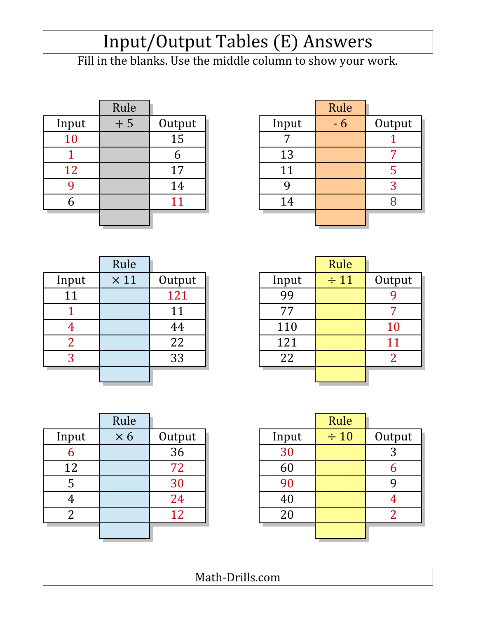# Input/Output Tables (E) Answers

Fill in the blanks. Use the middle column to show your work.

|       | Rule |        |       | Rule |      |
|-------|------|--------|-------|------|------|
| Input | $+5$ | Output | Input |      | Outj |
| 10    |      | 15     |       |      |      |
|       |      | n      | 13    |      | 7    |
| 12    |      | 17     | 11    |      | 5    |
|       |      | 14     |       |      | 3    |
| n     |      |        | 14    |      | 8    |
|       |      |        |       |      |      |

| Rule |        |       | Rule |        |
|------|--------|-------|------|--------|
| $+5$ | Output | Input | $-6$ | Output |
|      | 15     |       |      |        |
|      |        | 13    |      |        |
|      | 17     | 11    |      |        |
|      | 14     |       |      |        |
|      | 11     | 14    |      |        |
|      |        |       |      |        |
|      |        |       |      |        |

|       | Rule        |        |       | Rule      |                |
|-------|-------------|--------|-------|-----------|----------------|
| Input | $\times$ 11 | Output | Input | $\div$ 11 | Out            |
| 11    |             | 121    | 99    |           | 9              |
|       |             | 11     | 77    |           | 7              |
|       |             | 44     | 110   |           | 1(             |
| 2     |             | 22     | 121   |           | $1^{\circ}$    |
| 3     |             | 33     | 22    |           | $\overline{2}$ |
|       |             |        |       |           |                |

|       | Rule        |        |       | Rule      |           |
|-------|-------------|--------|-------|-----------|-----------|
| Input | $\times$ 11 | Output | Input | $\div$ 11 | Output    |
| 11    |             | 121    | 99    |           |           |
|       |             | 11     | 77    |           |           |
|       |             | 44     | 110   |           | <b>10</b> |
| ി     |             | 22     | 121   |           | 11        |
| 3     |             | 33     | 22    |           |           |
|       |             |        |       |           |           |

|       | Rule       |        |       | Rule      |                |
|-------|------------|--------|-------|-----------|----------------|
| Input | $\times 6$ | Output | Input | $\div 10$ | Out            |
| 6     |            | 36     | 30    |           | 3              |
| 12    |            | 72     | 60    |           | 6              |
| 5     |            | 30     | 90    |           | 9              |
| 4     |            | 24     | 40    |           | $\overline{4}$ |
| 2     |            | 12     | 20    |           | $\overline{2}$ |
|       |            |        |       |           |                |
|       |            |        |       |           |                |

|                | Rule       |        |       | Rule      |        |
|----------------|------------|--------|-------|-----------|--------|
| Input          | $\times 6$ | Output | Input | $\div 10$ | Output |
| 6              |            | 36     | 30    |           | 3      |
| 12             |            | 72     | 60    |           | h      |
| 5              |            | 30     | 90    |           |        |
|                |            | 24     | 40    |           |        |
| $\overline{2}$ |            | 12     | 20    |           |        |
|                |            |        |       |           |        |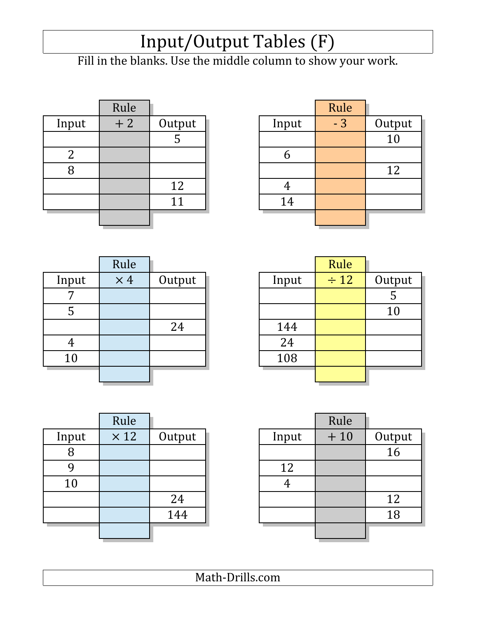### Input/Output Tables (F)

Fill in the blanks. Use the middle column to show your work.

|       | Rule |        |       | Rule |                 |
|-------|------|--------|-------|------|-----------------|
| Input | $+2$ | Output | Input | $-3$ | Outp            |
|       |      |        |       |      | $\overline{10}$ |
|       |      |        |       |      |                 |
| 8     |      |        |       |      | 12              |
|       |      | 12     |       |      |                 |
|       |      | 11     | 14    |      |                 |
|       |      |        |       |      |                 |
|       |      |        |       |      |                 |

| Rule |        |
|------|--------|
| $-3$ | Output |
|      | 10     |
|      |        |
|      | 12     |
|      |        |
|      |        |
|      |        |
|      |        |

|       | Rule       |        |       | Rule      |     |
|-------|------------|--------|-------|-----------|-----|
| Input | $\times$ 4 | Output | Input | $\div$ 12 | Out |
|       |            |        |       |           | 5   |
| ს     |            |        |       |           | 1(  |
|       |            | 24     | 144   |           |     |
| 4     |            |        | 24    |           |     |
| 10    |            |        | 108   |           |     |
|       |            |        |       |           |     |

|       | Rule       |        |       | Rule      |        |
|-------|------------|--------|-------|-----------|--------|
| Input | $\times$ 4 | Output | Input | $\div$ 12 | Output |
| 7     |            |        |       |           | C      |
| 5     |            |        |       |           | 10     |
|       |            | 24     | 144   |           |        |
|       |            |        | 24    |           |        |
| 10    |            |        | 108   |           |        |
|       |            |        |       |           |        |

|       | Rule        |        |       | Rule  |
|-------|-------------|--------|-------|-------|
| Input | $\times$ 12 | Output | Input | $+10$ |
| 8     |             |        |       |       |
|       |             |        | 12    |       |
| 10    |             |        |       |       |
|       |             | 24     |       |       |
|       |             | 144    |       |       |
|       |             |        |       |       |
|       |             |        |       |       |

|       | Rule        |        |       | Rule  |        |
|-------|-------------|--------|-------|-------|--------|
| Input | $\times$ 12 | Output | Input | $+10$ | Output |
| 8     |             |        |       |       | 16     |
| 9     |             |        | 12    |       |        |
| 10    |             |        |       |       |        |
|       |             | 24     |       |       | 12     |
|       |             | 144    |       |       | 18     |
|       |             |        |       |       |        |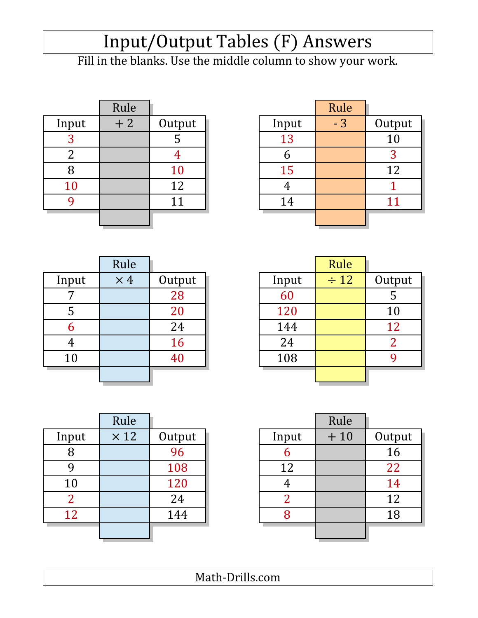# Input/Output Tables (F) Answers

Fill in the blanks. Use the middle column to show your work.

|       | Rule |        |       | Rule |                |
|-------|------|--------|-------|------|----------------|
| Input | $+2$ | Output | Input | $-3$ | Outj           |
| 3     |      |        | 13    |      | 1 <sub>0</sub> |
| 2     |      |        |       |      | 3              |
| 8     |      | 10     | 15    |      | 1'             |
| 10    |      | 12     |       |      |                |
|       |      | 11     | 14    |      | $1\acute{ }$   |
|       |      |        |       |      |                |

|          | Rule |        |       | Rule |        |
|----------|------|--------|-------|------|--------|
| Input    | $+2$ | Output | Input | $-3$ | Output |
| 3        |      | C      | 13    |      | 10     |
| ി        |      |        |       |      |        |
|          |      | 10     | 15    |      | 12     |
| 10       |      | 12     |       |      |        |
| $\Omega$ |      | 11     | 14    |      |        |
|          |      |        |       |      |        |

|       | Rule       |        |       | Rule      |                |
|-------|------------|--------|-------|-----------|----------------|
| Input | $\times$ 4 | Output | Input | $\div$ 12 | Out            |
|       |            | 28     | 60    |           | 5              |
| 5     |            | 20     | 120   |           | 1(             |
| 6     |            | 24     | 144   |           | 1'             |
| 4     |            | 16     | 24    |           | $\overline{2}$ |
| 10    |            | 40     | 108   |           | 9              |
|       |            |        |       |           |                |

|       | Rule       |           |       | Rule      |        |
|-------|------------|-----------|-------|-----------|--------|
| Input | $\times$ 4 | Output    | Input | $\div$ 12 | Output |
| 7     |            | 28        | 60    |           | C      |
| 5     |            | 20        | 120   |           | 10     |
| 6     |            | 24        | 144   |           | 12     |
| 4     |            | <b>16</b> | 24    |           |        |
| 10    |            | 40        | 108   |           |        |
|       |            |           |       |           |        |

|       | Rule        |        |       | Rule  |                 |
|-------|-------------|--------|-------|-------|-----------------|
| Input | $\times$ 12 | Output | Input | $+10$ | Outp            |
| 8     |             | 96     |       |       | $\overline{16}$ |
|       |             | 108    | 12    |       | 22              |
| 10    |             | 120    |       |       | 14              |
| 2     |             | 24     |       |       | 12              |
| 12    |             | 144    |       |       | 18              |
|       |             |        |       |       |                 |

|                | Rule        |        |       | Rule  |        |
|----------------|-------------|--------|-------|-------|--------|
| Input          | $\times$ 12 | Output | Input | $+10$ | Output |
| 8              |             | 96     | n     |       | 16     |
| 9              |             | 108    | 12    |       | 22     |
| 10             |             | 120    |       |       | 14     |
| $\overline{2}$ |             | 24     |       |       | 12     |
| 12             |             | 144    |       |       | 18     |
|                |             |        |       |       |        |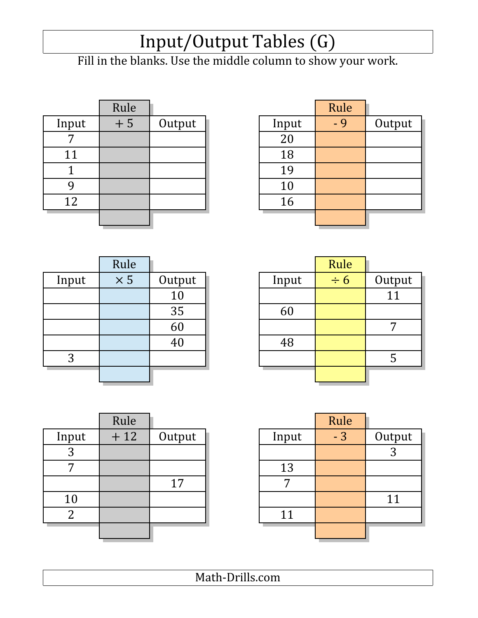### Input/Output Tables (G)

Fill in the blanks. Use the middle column to show your work.

|       | Rule |        |       | Rule |
|-------|------|--------|-------|------|
| Input | $+5$ | Output | Input | $-9$ |
|       |      |        | 20    |      |
| 11    |      |        | 18    |      |
|       |      |        | 19    |      |
|       |      |        | 10    |      |
| 12    |      |        | 16    |      |
|       |      |        |       |      |

|       | Rule |        |       | Rule |        |
|-------|------|--------|-------|------|--------|
| Input | $+5$ | Output | Input | $-9$ | Output |
|       |      |        | 20    |      |        |
| 11    |      |        | 18    |      |        |
|       |      |        | 19    |      |        |
|       |      |        | 10    |      |        |
| 12    |      |        | 16    |      |        |
|       |      |        |       |      |        |
|       |      |        |       |      |        |

|       | Rule       |        |       | Rule     |                |
|-------|------------|--------|-------|----------|----------------|
| Input | $\times 5$ | Output | Input | $\div 6$ | <u>Outj</u>    |
|       |            | 10     |       |          | $\overline{1}$ |
|       |            | 35     | 60    |          |                |
|       |            | 60     |       |          | 7              |
|       |            | 40     | 48    |          |                |
| 3     |            |        |       |          | 5              |
|       |            |        |       |          |                |
|       |            |        |       |          |                |

|       | Rule       |        |       | Rule     |        |
|-------|------------|--------|-------|----------|--------|
| Input | $\times 5$ | Output | Input | $\div 6$ | Output |
|       |            | 10     |       |          | 11     |
|       |            | 35     | 60    |          |        |
|       |            | 60     |       |          | -      |
|       |            | 40     | 48    |          |        |
| 3     |            |        |       |          |        |
|       |            |        |       |          |        |

|                | Rule  |        |       | Rule |                |
|----------------|-------|--------|-------|------|----------------|
| Input          | $+12$ | Output | Input | $-3$ | Outp           |
| כי<br>C        |       |        |       |      | $\overline{3}$ |
|                |       |        | 13    |      |                |
|                |       | 17     |       |      |                |
| 10             |       |        |       |      | 11             |
| $\overline{2}$ |       |        | 11    |      |                |
|                |       |        |       |      |                |

| Rule  |        |       | Rule |        |
|-------|--------|-------|------|--------|
| $+12$ | Output | Input | $-3$ | Output |
|       |        |       |      | 3      |
|       |        | 13    |      |        |
|       | 17     |       |      |        |
|       |        |       |      | 11     |
|       |        | 11    |      |        |
|       |        |       |      |        |
|       |        |       |      |        |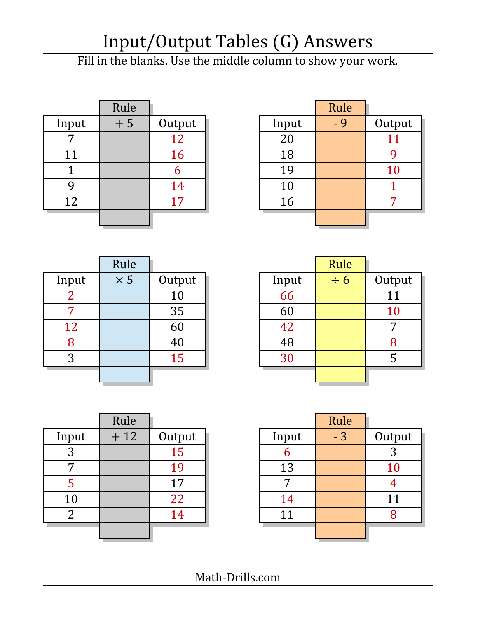# Input/Output Tables (G) Answers

Fill in the blanks. Use the middle column to show your work.

|       | Rule |        |       | Rule |                |
|-------|------|--------|-------|------|----------------|
| Input | $+5$ | Output | Input | - 9  | <u>Outj</u>    |
|       |      | 12     | 20    |      | 1 <sup>2</sup> |
| 11    |      | 16     | 18    |      | 9              |
|       |      |        | 19    |      |                |
|       |      | 14     | 10    |      |                |
| 12    |      | 17     | 16    |      | 7              |
|       |      |        |       |      |                |

|       | Rule |        |       | Rule |        |
|-------|------|--------|-------|------|--------|
| Input | $+5$ | Output | Input | $-9$ | Output |
|       |      | 12     | 20    |      | 11     |
| 11    |      | 16     | 18    |      |        |
|       |      | b      | 19    |      | 10     |
|       |      | 14     | 10    |      |        |
| 12    |      | 17     | 16    |      |        |
|       |      |        |       |      |        |

|       | Rule       |        |       | Rule     |             |
|-------|------------|--------|-------|----------|-------------|
| Input | $\times$ 5 | Output | Input | $\div 6$ | Out         |
|       |            | 10     | 66    |          | $1^{\circ}$ |
|       |            | 35     | 60    |          | 1(          |
| 12    |            | 60     | 42    |          | 7           |
| 8     |            | 40     | 48    |          | 8           |
| 3     |            | 15     | 30    |          | 5           |
|       |            |        |       |          |             |

|                | Rule       |        |       | Rule     |        |
|----------------|------------|--------|-------|----------|--------|
| Input          | $\times$ 5 | Output | Input | $\div 6$ | Output |
| $\overline{2}$ |            | 10     | 66    |          | 11     |
|                |            | 35     | 60    |          | 10     |
| 12             |            | 60     | 42    |          | ⇁      |
| 8              |            | 40     | 48    |          | 8      |
| 3              |            | 15     | 30    |          | 5      |
|                |            |        |       |          |        |

|                | Rule  |        |       | Rule |                |
|----------------|-------|--------|-------|------|----------------|
| Input          | $+12$ | Output | Input | $-3$ | Outp           |
| 3              |       | 15     |       |      | $\overline{3}$ |
|                |       | 19     | 13    |      | 10             |
|                |       | 17     |       |      | $\overline{4}$ |
| 10             |       | 22     | 14    |      | 11             |
| $\overline{2}$ |       | 14     | 11    |      | 8              |
|                |       |        |       |      |                |

|                | Rule  |        |       | Rule |        |
|----------------|-------|--------|-------|------|--------|
| Input          | $+12$ | Output | Input | $-3$ | Output |
| 3              |       | 15     | n     |      | 3      |
|                |       | 19     | 13    |      | 10     |
| 5              |       | 17     |       |      |        |
| 10             |       | 22     | 14    |      | 11     |
| $\overline{2}$ |       | 14     | 11    |      | 8      |
|                |       |        |       |      |        |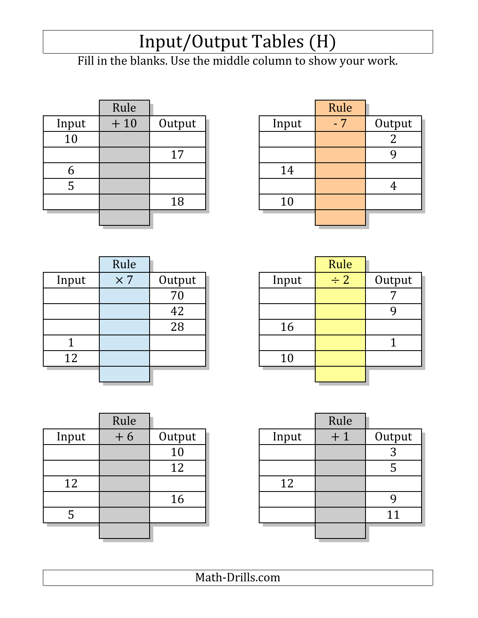## Input/Output Tables (H)

Fill in the blanks. Use the middle column to show your work.

|       | Rule  |        |       | Rule |                |
|-------|-------|--------|-------|------|----------------|
| Input | $+10$ | Output | Input | $-7$ | Outj           |
| 10    |       |        |       |      | $\overline{2}$ |
|       |       | 17     |       |      | 9              |
| b     |       |        | 14    |      |                |
| כ     |       |        |       |      | $\overline{4}$ |
|       |       | 18     | 10    |      |                |
|       |       |        |       |      |                |

|       | Rule  |        |       | Rule |        |
|-------|-------|--------|-------|------|--------|
| Input | $+10$ | Output | Input | $-7$ | Output |
| 10    |       |        |       |      | ▵      |
|       |       | 17     |       |      |        |
| O     |       |        | 14    |      |        |
| 5     |       |        |       |      |        |
|       |       | 18     | 10    |      |        |
|       |       |        |       |      |        |

|       | Rule       |        |       | Rule     |                |
|-------|------------|--------|-------|----------|----------------|
| Input | $\times 7$ | Output | Input | $\div$ 2 | Outj           |
|       |            | 70     |       |          | $\overline{7}$ |
|       |            | 42     |       |          | 9              |
|       |            | 28     | 16    |          |                |
|       |            |        |       |          |                |
| 12    |            |        | 10    |          |                |
|       |            |        |       |          |                |

|       | Rule       |        |       | Rule     |        |
|-------|------------|--------|-------|----------|--------|
| Input | $\times 7$ | Output | Input | $\div$ 2 | Output |
|       |            | 70     |       |          |        |
|       |            | 42     |       |          |        |
|       |            | 28     | 16    |          |        |
|       |            |        |       |          |        |
| 12    |            |        | 10    |          |        |
|       |            |        |       |          |        |

|       | Rule |        |       | Rule           |
|-------|------|--------|-------|----------------|
| Input | $+6$ | Output | Input | $\overline{f}$ |
|       |      | 10     |       |                |
|       |      | 12     |       |                |
| 12    |      |        | 12    |                |
|       |      | 16     |       |                |
| 5     |      |        |       |                |
|       |      |        |       |                |
|       |      |        |       |                |

|       | Rule |        |       | Rule |        |
|-------|------|--------|-------|------|--------|
| Input | $+6$ | Output | Input | $+1$ | Output |
|       |      | 10     |       |      | 3      |
|       |      | 12     |       |      | 5      |
| 12    |      |        | 12    |      |        |
|       |      | 16     |       |      |        |
| 5     |      |        |       |      | 11     |
|       |      |        |       |      |        |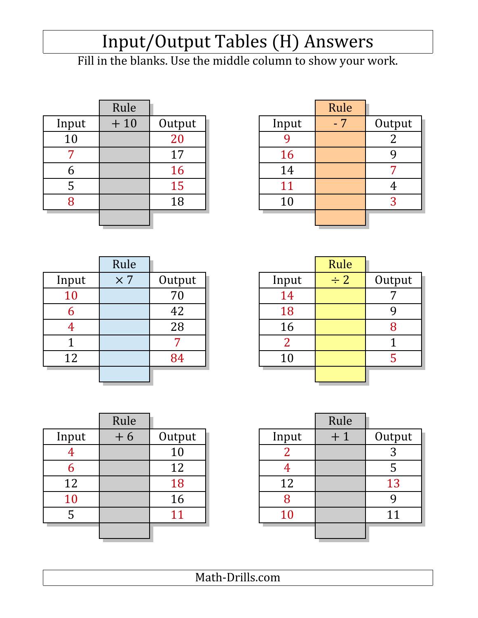# Input/Output Tables (H) Answers

Fill in the blanks. Use the middle column to show your work.

|       | Rule  |        |       | Rule |                |
|-------|-------|--------|-------|------|----------------|
| Input | $+10$ | Output | Input | $-7$ | Outj           |
| 10    |       | 20     |       |      | $\overline{2}$ |
|       |       | 17     | 16    |      | 9              |
| b     |       | 16     | 14    |      | 7              |
| 5     |       | 15     | 11    |      | $\overline{4}$ |
| 8     |       | 18     | 10    |      | 3              |
|       |       |        |       |      |                |
|       |       |        |       |      |                |

|                        | Rule  |        |       | Rule |        |
|------------------------|-------|--------|-------|------|--------|
| Input                  | $+10$ | Output | Input | $-7$ | Output |
| 10                     |       | 20     |       |      |        |
| $\mathbf{\mathcal{L}}$ |       | 17     | 16    |      |        |
| b                      |       | 16     | 14    |      |        |
| 5                      |       | 15     | 11    |      |        |
| 8                      |       | 18     | 10    |      | 3      |
|                        |       |        |       |      |        |

|       | Rule       |        |       | Rule     |                |
|-------|------------|--------|-------|----------|----------------|
| Input | $\times 7$ | Output | Input | $\div$ 2 | Outj           |
| 10    |            | 70     | 14    |          | $\overline{7}$ |
| b     |            | 42     | 18    |          | 9              |
|       |            | 28     | 16    |          | 8              |
|       |            |        |       |          |                |
| 12    |            | 84     | 10    |          | 5              |
|       |            |        |       |          |                |

|       | Rule       |        |       | Rule     |        |
|-------|------------|--------|-------|----------|--------|
| Input | $\times 7$ | Output | Input | $\div$ 2 | Output |
| 10    |            | 70     | 14    |          |        |
| 6     |            | 42     | 18    |          |        |
|       |            | 28     | 16    |          |        |
|       |            |        |       |          |        |
| 12    |            | 84     | 10    |          |        |
|       |            |        |       |          |        |

|           | Rule |        |       | Rule |      |
|-----------|------|--------|-------|------|------|
| Input     | $+6$ | Output | Input | $+1$ | Outp |
|           |      | 10     |       |      | 3    |
| b         |      | 12     |       |      | 5    |
| 12        |      | 18     | 12    |      | 13   |
| <b>10</b> |      | 16     | 8     |      | 9    |
|           |      | 11     | 10    |      | 11   |
|           |      |        |       |      |      |

|       | Rule |        |       | Rule |        |
|-------|------|--------|-------|------|--------|
| Input | $+6$ | Output | Input | $+1$ | Output |
|       |      | 10     |       |      |        |
| h     |      | 12     |       |      |        |
| 12    |      | 18     | 12    |      | 13     |
| 10    |      | 16     |       |      |        |
| 5     |      |        | 10    |      |        |
|       |      |        |       |      |        |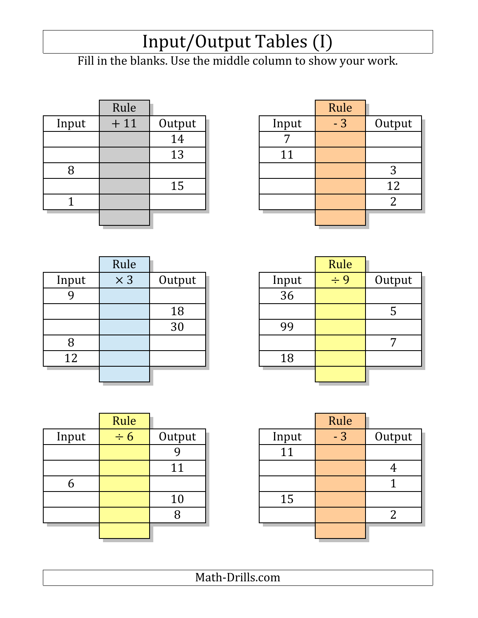### Input/Output Tables (I)

Fill in the blanks. Use the middle column to show your work.

|       | Rule  |        |       | Rule |                |
|-------|-------|--------|-------|------|----------------|
| Input | $+11$ | Output | Input | $-3$ | Outj           |
|       |       | 14     |       |      |                |
|       |       | 13     | 11    |      |                |
| Õ     |       |        |       |      | 3              |
|       |       | 15     |       |      | 1'             |
|       |       |        |       |      | $\overline{2}$ |
|       |       |        |       |      |                |
|       |       |        |       |      |                |

| Rule  |        |       | Rule |        |
|-------|--------|-------|------|--------|
| $+11$ | Output | Input | $-3$ | Output |
|       | 14     |       |      |        |
|       | 13     | 11    |      |        |
|       |        |       |      |        |
|       | 15     |       |      | 12     |
|       |        |       |      |        |
|       |        |       |      |        |
|       |        |       |      |        |

|       | Rule       |        |       | Rule     |                |
|-------|------------|--------|-------|----------|----------------|
| Input | $\times 3$ | Output | Input | $\div$ 9 | Out            |
|       |            |        | 36    |          |                |
|       |            | 18     |       |          | 5              |
|       |            | 30     | 99    |          |                |
| 8     |            |        |       |          | $\overline{7}$ |
| 12    |            |        | 18    |          |                |
|       |            |        |       |          |                |
|       |            |        |       |          |                |

|       | Rule       |        |       | Rule     |        |
|-------|------------|--------|-------|----------|--------|
| Input | $\times$ 3 | Output | Input | $\div$ 9 | Output |
|       |            |        | 36    |          |        |
|       |            | 18     |       |          | J      |
|       |            | 30     | 99    |          |        |
| 8     |            |        |       |          |        |
| 12    |            |        | 18    |          |        |
|       |            |        |       |          |        |

|       | Rule     |        |       | Rule |                |
|-------|----------|--------|-------|------|----------------|
| Input | $\div 6$ | Output | Input | $-3$ | Out            |
|       |          |        | 11    |      |                |
|       |          | 11     |       |      | $\overline{4}$ |
| h     |          |        |       |      |                |
|       |          | 10     | 15    |      |                |
|       |          |        |       |      | $\overline{2}$ |
|       |          |        |       |      |                |

|       | Rule     |        |       | Rule |        |
|-------|----------|--------|-------|------|--------|
| Input | $\div 6$ | Output | Input | $-3$ | Output |
|       |          |        | 11    |      |        |
|       |          | 11     |       |      |        |
| n     |          |        |       |      |        |
|       |          | 10     | 15    |      |        |
|       |          |        |       |      |        |
|       |          |        |       |      |        |
|       |          |        |       |      |        |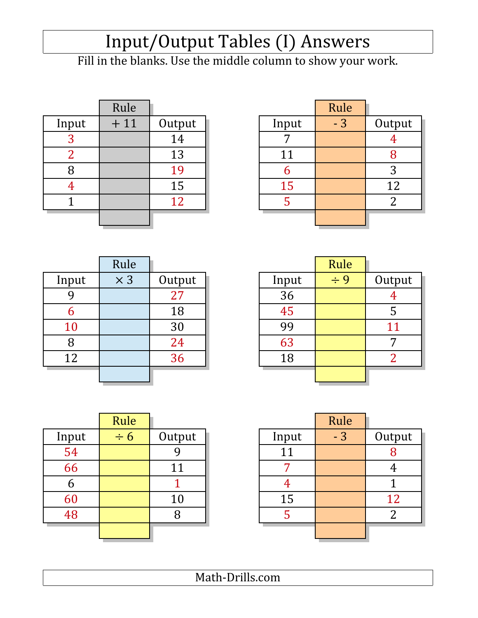# Input/Output Tables (I) Answers

Fill in the blanks. Use the middle column to show your work.

|       | Rule  |        |       | Rule |                |
|-------|-------|--------|-------|------|----------------|
| Input | $+11$ | Output | Input | $-3$ | Outj           |
|       |       | 14     |       |      | $\overline{4}$ |
|       |       | 13     | 11    |      | 8              |
| 8     |       | 19     |       |      | 3              |
|       |       | 15     | 15    |      | 1'             |
|       |       | 12     |       |      | $\overline{2}$ |
|       |       |        |       |      |                |
|       |       |        |       |      |                |

|                   | Rule  |        |       | Rule |        |
|-------------------|-------|--------|-------|------|--------|
| Input             | $+11$ | Output | Input | $-3$ | Output |
| $\mathbf{P}$<br>C |       | 14     |       |      |        |
| ി                 |       | 13     | 11    |      |        |
|                   |       | 19     |       |      | 3      |
|                   |       | 15     | 15    |      | 12     |
|                   |       | 12     |       |      |        |
|                   |       |        |       |      |        |

|       | Rule       |        |       | Rule     |                |
|-------|------------|--------|-------|----------|----------------|
| Input | $\times$ 3 | Output | Input | $\div$ 9 | Outp           |
|       |            | 27     | 36    |          | $\overline{4}$ |
| O     |            | 18     | 45    |          | 5              |
| 10    |            | 30     | 99    |          | 11             |
| 8     |            | 24     | 63    |          | 7              |
| 12    |            | 36     | 18    |          | 2 <sup>1</sup> |
|       |            |        |       |          |                |

|       | Rule       |        |       | Rule     |        |
|-------|------------|--------|-------|----------|--------|
| Input | $\times$ 3 | Output | Input | $\div$ 9 | Output |
| 9     |            | 27     | 36    |          |        |
| 6     |            | 18     | 45    |          | 5      |
| 10    |            | 30     | 99    |          | 11     |
| 8     |            | 24     | 63    |          | −      |
| 12    |            | 36     | 18    |          | ി      |
|       |            |        |       |          |        |

|       | Rule     |        |       | Rule |                |
|-------|----------|--------|-------|------|----------------|
| Input | $\div 6$ | Output | Input | $-3$ | Outp           |
| 54    |          |        | 11    |      | 8              |
| 66    |          | 11     |       |      | $\overline{4}$ |
| b     |          |        |       |      |                |
| 60    |          | 10     | 15    |      | 12             |
| 48    |          | 8      |       |      | $\overline{2}$ |
|       |          |        |       |      |                |

|       | Rule     |        |       | Rule |        |
|-------|----------|--------|-------|------|--------|
| Input | $\div 6$ | Output | Input | $-3$ | Output |
| 54    |          |        |       |      |        |
| 66    |          | 11     |       |      |        |
| 6     |          |        |       |      |        |
| 60    |          | 10     | 15    |      | 12     |
| 48    |          | 8      |       |      |        |
|       |          |        |       |      |        |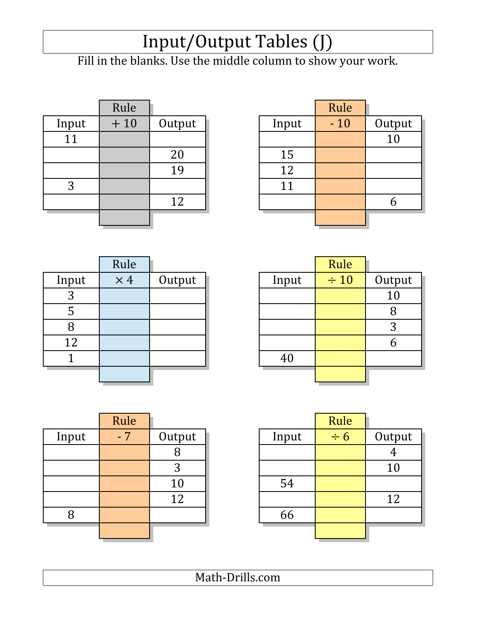### Input/Output Tables (J)

Fill in the blanks. Use the middle column to show your work.

|       | Rule  |        |       | Rule  |                 |
|-------|-------|--------|-------|-------|-----------------|
| Input | $+10$ | Output | Input | $-10$ | Outp            |
| 11    |       |        |       |       | $\overline{10}$ |
|       |       | 20     | 15    |       |                 |
|       |       | 19     | 12    |       |                 |
| 3     |       |        | 11    |       |                 |
|       |       | 12     |       |       | 6               |
|       |       |        |       |       |                 |
|       |       |        |       |       |                 |

| Rule  |        |       | Rule  |        |
|-------|--------|-------|-------|--------|
| $+10$ | Output | Input | $-10$ | Output |
|       |        |       |       | 10     |
|       | 20     | 15    |       |        |
|       | 19     | 12    |       |        |
|       |        | 11    |       |        |
|       | 12     |       |       |        |
|       |        |       |       |        |
|       |        |       |       |        |

|       | Rule       |        |       | Rule      |                |
|-------|------------|--------|-------|-----------|----------------|
| Input | $\times$ 4 | Output | Input | $\div 10$ | Out            |
| C     |            |        |       |           | 1 <sub>0</sub> |
| 5     |            |        |       |           | 8              |
|       |            |        |       |           | 3              |
| 12    |            |        |       |           | 6              |
|       |            |        | 40    |           |                |
|       |            |        |       |           |                |

|       | Rule       |        |       | Rule      |        |
|-------|------------|--------|-------|-----------|--------|
| Input | $\times$ 4 | Output | Input | $\div 10$ | Output |
| 3     |            |        |       |           | 10     |
| 5     |            |        |       |           |        |
| 8     |            |        |       |           | 3      |
| 12    |            |        |       |           |        |
|       |            |        | 40    |           |        |
|       |            |        |       |           |        |

|       | Rule |        |       | Rule                |
|-------|------|--------|-------|---------------------|
| Input | $-7$ | Output | Input | $\overline{\div 6}$ |
|       |      |        |       |                     |
|       |      | 3      |       |                     |
|       |      | 10     | 54    |                     |
|       |      | 12     |       |                     |
| 8     |      |        | 66    |                     |
|       |      |        |       |                     |
|       |      |        |       |                     |

| Output   |
|----------|
|          |
|          |
|          |
|          |
|          |
|          |
| 10<br>12 |